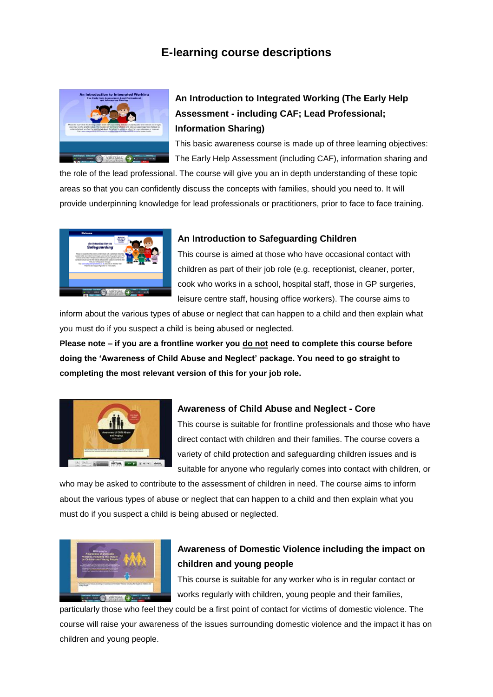# **E-learning course descriptions**



# **An Introduction to Integrated Working (The Early Help Assessment - including CAF; Lead Professional; Information Sharing)**

This basic awareness course is made up of three learning objectives: The Early Help Assessment (including CAF), information sharing and

the role of the lead professional. The course will give you an in depth understanding of these topic areas so that you can confidently discuss the concepts with families, should you need to. It will provide underpinning knowledge for lead professionals or practitioners, prior to face to face training.



#### **An Introduction to Safeguarding Children**

This course is aimed at those who have occasional contact with children as part of their job role (e.g. receptionist, cleaner, porter, cook who works in a school, hospital staff, those in GP surgeries, leisure centre staff, housing office workers). The course aims to

inform about the various types of abuse or neglect that can happen to a child and then explain what you must do if you suspect a child is being abused or neglected.

**Please note – if you are a frontline worker you do not need to complete this course before doing the 'Awareness of Child Abuse and Neglect' package. You need to go straight to completing the most relevant version of this for your job role.**



#### **Awareness of Child Abuse and Neglect - Core**

This course is suitable for frontline professionals and those who have direct contact with children and their families. The course covers a variety of child protection and safeguarding children issues and is suitable for anyone who regularly comes into contact with children, or

who may be asked to contribute to the assessment of children in need. The course aims to inform about the various types of abuse or neglect that can happen to a child and then explain what you must do if you suspect a child is being abused or neglected.



# **Awareness of Domestic Violence including the impact on children and young people**

This course is suitable for any worker who is in regular contact or works regularly with children, young people and their families,

particularly those who feel they could be a first point of contact for victims of domestic violence. The course will raise your awareness of the issues surrounding domestic violence and the impact it has on children and young people.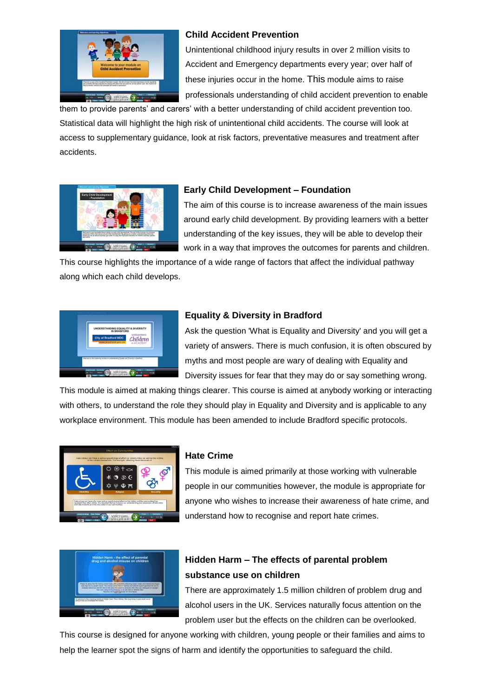

#### **Child Accident Prevention**

Unintentional childhood injury results in over 2 million visits to Accident and Emergency departments every year; over half of these injuries occur in the home. This module aims to raise professionals understanding of child accident prevention to enable

them to provide parents' and carers' with a better understanding of child accident prevention too. Statistical data will highlight the high risk of unintentional child accidents. The course will look at access to supplementary guidance, look at risk factors, preventative measures and treatment after accidents.



#### **Early Child Development – Foundation**

The aim of this course is to increase awareness of the main issues around early child development. By providing learners with a better understanding of the key issues, they will be able to develop their work in a way that improves the outcomes for parents and children.

This course highlights the importance of a wide range of factors that affect the individual pathway along which each child develops.



#### **Equality & Diversity in Bradford**

Ask the question 'What is Equality and Diversity' and you will get a variety of answers. There is much confusion, it is often obscured by myths and most people are wary of dealing with Equality and Diversity issues for fear that they may do or say something wrong.

This module is aimed at making things clearer. This course is aimed at anybody working or interacting with others, to understand the role they should play in Equality and Diversity and is applicable to any workplace environment. This module has been amended to include Bradford specific protocols.



#### **Hate Crime**

This module is aimed primarily at those working with vulnerable people in our communities however, the module is appropriate for anyone who wishes to increase their awareness of hate crime, and understand how to recognise and report hate crimes.



## **Hidden Harm – The effects of parental problem substance use on children**

There are approximately 1.5 million children of problem drug and alcohol users in the UK. Services naturally focus attention on the problem user but the effects on the children can be overlooked.

This course is designed for anyone working with children, young people or their families and aims to help the learner spot the signs of harm and identify the opportunities to safeguard the child.